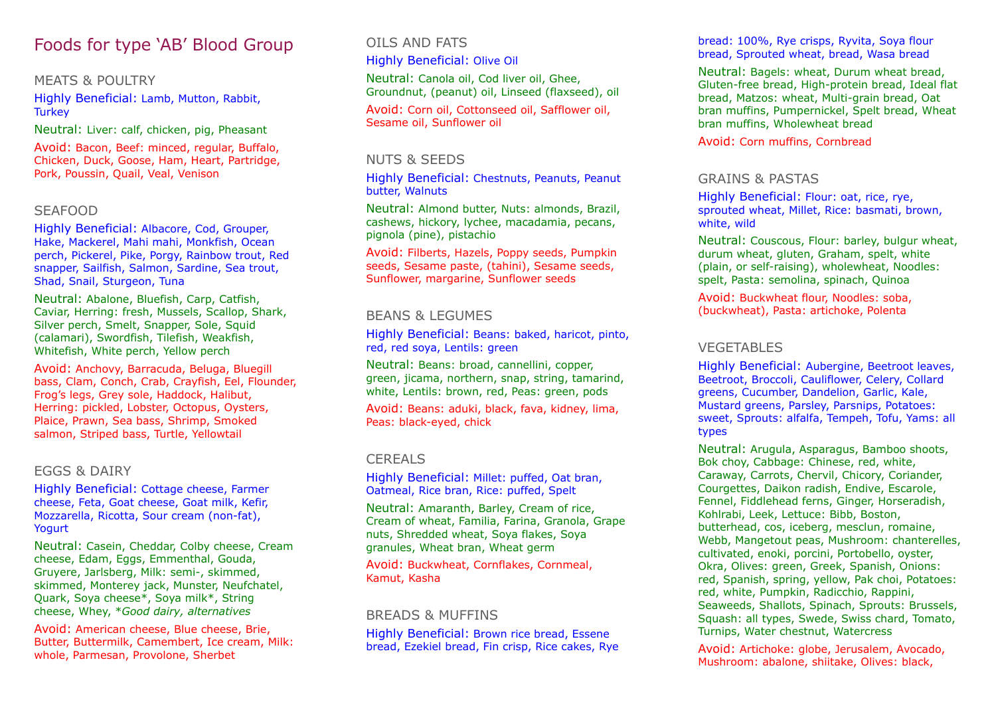# Foods for type 'AB' Blood Group

# MEATS & POULTRY

Highly Beneficial: Lamb, Mutton, Rabbit, **Turkey** 

Neutral: Liver: calf, chicken, pig, Pheasant

Avoid: Bacon, Beef: minced, regular, Buffalo, Chicken, Duck, Goose, Ham, Heart, Partridge, Pork, Poussin, Quail, Veal, Venison

# SEAFOOD

Highly Beneficial: Albacore, Cod, Grouper, Hake, Mackerel, Mahi mahi, Monkfish, Ocean perch, Pickerel, Pike, Porgy, Rainbow trout, Red snapper, Sailfish, Salmon, Sardine, Sea trout, Shad, Snail, Sturgeon, Tuna

Neutral: Abalone, Bluefish, Carp, Catfish, Caviar, Herring: fresh, Mussels, Scallop, Shark, Silver perch, Smelt, Snapper, Sole, Squid (calamari), Swordfish, Tilefish, Weakfish, Whitefish, White perch, Yellow perch

Avoid: Anchovy, Barracuda, Beluga, Bluegill bass, Clam, Conch, Crab, Crayfish, Eel, Flounder, Frog's legs, Grey sole, Haddock, Halibut, Herring: pickled, Lobster, Octopus, Oysters, Plaice, Prawn, Sea bass, Shrimp, Smoked salmon, Striped bass, Turtle, Yellowtail

#### EGGS & DAIRY

Highly Beneficial: Cottage cheese, Farmer cheese, Feta, Goat cheese, Goat milk, Kefir, Mozzarella, Ricotta, Sour cream (non-fat), Yogurt

Neutral: Casein, Cheddar, Colby cheese, Cream cheese, Edam, Eggs, Emmenthal, Gouda, Gruyere, Jarlsberg, Milk: semi-, skimmed, skimmed, Monterey jack, Munster, Neufchatel, Quark, Soya cheese\*, Soya milk\*, String cheese, Whey, \**Good dairy, alternatives*

Avoid: American cheese, Blue cheese, Brie, Butter, Buttermilk, Camembert, Ice cream, Milk: whole, Parmesan, Provolone, Sherbet

# OILS AND FATS

Highly Beneficial: Olive Oil

Neutral: Canola oil, Cod liver oil, Ghee, Groundnut, (peanut) oil, Linseed (flaxseed), oil Avoid: Corn oil, Cottonseed oil, Safflower oil, Sesame oil, Sunflower oil

#### NUTS & SEEDS

Highly Beneficial: Chestnuts, Peanuts, Peanut butter, Walnuts

Neutral: Almond butter, Nuts: almonds, Brazil, cashews, hickory, lychee, macadamia, pecans, pignola (pine), pistachio

Avoid: Filberts, Hazels, Poppy seeds, Pumpkin seeds, Sesame paste, (tahini), Sesame seeds, Sunflower, margarine, Sunflower seeds

# BEANS & LEGUMES

Highly Beneficial: Beans: baked, haricot, pinto, red, red soya, Lentils: green

Neutral: Beans: broad, cannellini, copper, green, jicama, northern, snap, string, tamarind, white, Lentils: brown, red, Peas: green, pods

Avoid: Beans: aduki, black, fava, kidney, lima, Peas: black-eyed, chick

# CEREALS

Highly Beneficial: Millet: puffed, Oat bran, Oatmeal, Rice bran, Rice: puffed, Spelt

Neutral: Amaranth, Barley, Cream of rice, Cream of wheat, Familia, Farina, Granola, Grape nuts, Shredded wheat, Soya flakes, Soya granules, Wheat bran, Wheat germ

Avoid: Buckwheat, Cornflakes, Cornmeal, Kamut, Kasha

#### BREADS & MUFFINS

Highly Beneficial: Brown rice bread, Essene bread, Ezekiel bread, Fin crisp, Rice cakes, Rye bread: 100%, Rye crisps, Ryvita, Soya flour bread, Sprouted wheat, bread, Wasa bread

Neutral: Bagels: wheat, Durum wheat bread, Gluten-free bread, High-protein bread, Ideal flat bread, Matzos: wheat, Multi-grain bread, Oat bran muffins, Pumpernickel, Spelt bread, Wheat bran muffins, Wholewheat bread

Avoid: Corn muffins, Cornbread

# GRAINS & PASTAS

Highly Beneficial: Flour: oat, rice, rye, sprouted wheat, Millet, Rice: basmati, brown, white, wild

Neutral: Couscous, Flour: barley, bulgur wheat, durum wheat, gluten, Graham, spelt, white (plain, or self-raising), wholewheat, Noodles: spelt, Pasta: semolina, spinach, Quinoa

Avoid: Buckwheat flour, Noodles: soba, (buckwheat), Pasta: artichoke, Polenta

# VEGETABLES

Highly Beneficial: Aubergine, Beetroot leaves, Beetroot, Broccoli, Cauliflower, Celery, Collard greens, Cucumber, Dandelion, Garlic, Kale, Mustard greens, Parsley, Parsnips, Potatoes: sweet, Sprouts: alfalfa, Tempeh, Tofu, Yams: all types

Neutral: Arugula, Asparagus, Bamboo shoots, Bok choy, Cabbage: Chinese, red, white, Caraway, Carrots, Chervil, Chicory, Coriander, Courgettes, Daikon radish, Endive, Escarole, Fennel, Fiddlehead ferns, Ginger, Horseradish, Kohlrabi, Leek, Lettuce: Bibb, Boston, butterhead, cos, iceberg, mesclun, romaine, Webb, Mangetout peas, Mushroom: chanterelles, cultivated, enoki, porcini, Portobello, oyster, Okra, Olives: green, Greek, Spanish, Onions: red, Spanish, spring, yellow, Pak choi, Potatoes: red, white, Pumpkin, Radicchio, Rappini, Seaweeds, Shallots, Spinach, Sprouts: Brussels, Squash: all types, Swede, Swiss chard, Tomato, Turnips, Water chestnut, Watercress

Avoid: Artichoke: globe, Jerusalem, Avocado, Mushroom: abalone, shiitake, Olives: black,